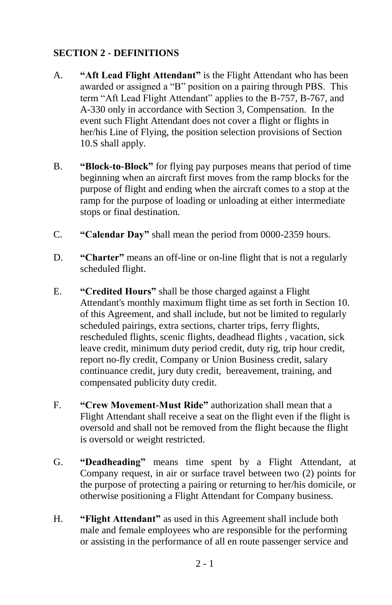## **SECTION 2 - DEFINITIONS**

- A. **"Aft Lead Flight Attendant"** is the Flight Attendant who has been awarded or assigned a "B" position on a pairing through PBS. This term "Aft Lead Flight Attendant" applies to the B-757, B-767, and A-330 only in accordance with Section 3, Compensation. In the event such Flight Attendant does not cover a flight or flights in her/his Line of Flying, the position selection provisions of Section 10.S shall apply.
- B. **"Block-to-Block"** for flying pay purposes means that period of time beginning when an aircraft first moves from the ramp blocks for the purpose of flight and ending when the aircraft comes to a stop at the ramp for the purpose of loading or unloading at either intermediate stops or final destination.
- C. **"Calendar Day"** shall mean the period from 0000-2359 hours.
- D. **"Charter"** means an off-line or on-line flight that is not a regularly scheduled flight.
- E. **"Credited Hours"** shall be those charged against a Flight Attendant's monthly maximum flight time as set forth in Section 10. of this Agreement, and shall include, but not be limited to regularly scheduled pairings, extra sections, charter trips, ferry flights, rescheduled flights, scenic flights, deadhead flights , vacation, sick leave credit, minimum duty period credit, duty rig, trip hour credit, report no-fly credit, Company or Union Business credit, salary continuance credit, jury duty credit, bereavement, training, and compensated publicity duty credit.
- F. **"Crew Movement-Must Ride"** authorization shall mean that a Flight Attendant shall receive a seat on the flight even if the flight is oversold and shall not be removed from the flight because the flight is oversold or weight restricted.
- G. **"Deadheading"** means time spent by a Flight Attendant, at Company request, in air or surface travel between two (2) points for the purpose of protecting a pairing or returning to her/his domicile, or otherwise positioning a Flight Attendant for Company business.
- H. **"Flight Attendant"** as used in this Agreement shall include both male and female employees who are responsible for the performing or assisting in the performance of all en route passenger service and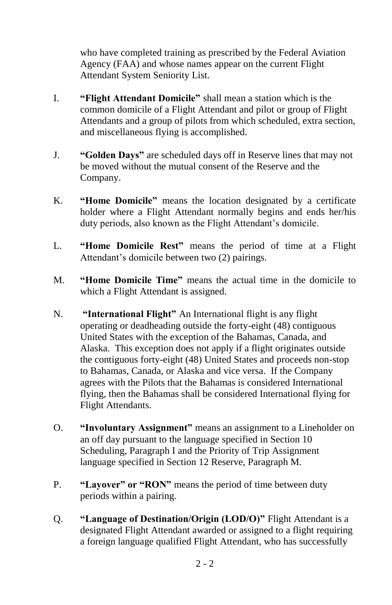who have completed training as prescribed by the Federal Aviation Agency (FAA) and whose names appear on the current Flight Attendant System Seniority List.

- I. **"Flight Attendant Domicile"** shall mean a station which is the common domicile of a Flight Attendant and pilot or group of Flight Attendants and a group of pilots from which scheduled, extra section, and miscellaneous flying is accomplished.
- J. **"Golden Days"** are scheduled days off in Reserve lines that may not be moved without the mutual consent of the Reserve and the Company.
- K. **"Home Domicile"** means the location designated by a certificate holder where a Flight Attendant normally begins and ends her/his duty periods, also known as the Flight Attendant's domicile.
- L. **"Home Domicile Rest"** means the period of time at a Flight Attendant's domicile between two (2) pairings.
- M. **"Home Domicile Time"** means the actual time in the domicile to which a Flight Attendant is assigned.
- N. **"International Flight"** An International flight is any flight operating or deadheading outside the forty-eight (48) contiguous United States with the exception of the Bahamas, Canada, and Alaska. This exception does not apply if a flight originates outside the contiguous forty-eight (48) United States and proceeds non-stop to Bahamas, Canada, or Alaska and vice versa. If the Company agrees with the Pilots that the Bahamas is considered International flying, then the Bahamas shall be considered International flying for Flight Attendants.
- O. **"Involuntary Assignment"** means an assignment to a Lineholder on an off day pursuant to the language specified in Section 10 Scheduling, Paragraph I and the Priority of Trip Assignment language specified in Section 12 Reserve, Paragraph M.
- P. **"Layover" or "RON"** means the period of time between duty periods within a pairing.
- Q. **"Language of Destination/Origin (LOD/O)"** Flight Attendant is a designated Flight Attendant awarded or assigned to a flight requiring a foreign language qualified Flight Attendant, who has successfully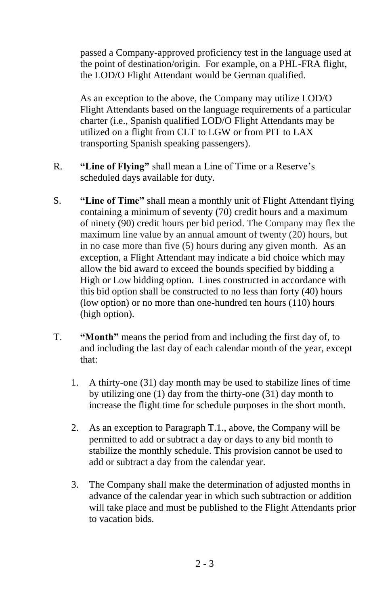passed a Company-approved proficiency test in the language used at the point of destination/origin. For example, on a PHL-FRA flight, the LOD/O Flight Attendant would be German qualified.

As an exception to the above, the Company may utilize LOD/O Flight Attendants based on the language requirements of a particular charter (i.e., Spanish qualified LOD/O Flight Attendants may be utilized on a flight from CLT to LGW or from PIT to LAX transporting Spanish speaking passengers).

- R. **"Line of Flying"** shall mean a Line of Time or a Reserve's scheduled days available for duty.
- S. **"Line of Time"** shall mean a monthly unit of Flight Attendant flying containing a minimum of seventy (70) credit hours and a maximum of ninety (90) credit hours per bid period. The Company may flex the maximum line value by an annual amount of twenty (20) hours, but in no case more than five (5) hours during any given month. As an exception, a Flight Attendant may indicate a bid choice which may allow the bid award to exceed the bounds specified by bidding a High or Low bidding option. Lines constructed in accordance with this bid option shall be constructed to no less than forty (40) hours (low option) or no more than one-hundred ten hours (110) hours (high option).
- T. **"Month"** means the period from and including the first day of, to and including the last day of each calendar month of the year, except that:
	- 1. A thirty-one (31) day month may be used to stabilize lines of time by utilizing one (1) day from the thirty-one (31) day month to increase the flight time for schedule purposes in the short month.
	- 2. As an exception to Paragraph T.1., above, the Company will be permitted to add or subtract a day or days to any bid month to stabilize the monthly schedule. This provision cannot be used to add or subtract a day from the calendar year.
	- 3. The Company shall make the determination of adjusted months in advance of the calendar year in which such subtraction or addition will take place and must be published to the Flight Attendants prior to vacation bids.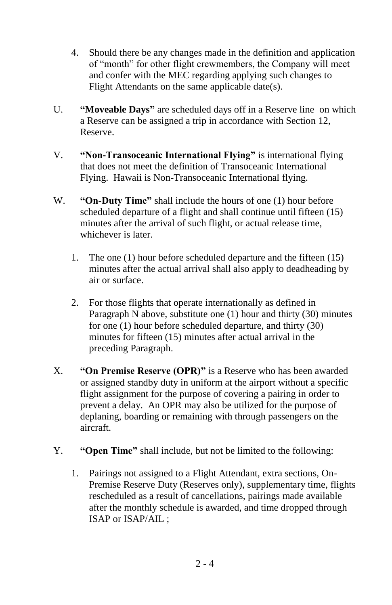- 4. Should there be any changes made in the definition and application of "month" for other flight crewmembers, the Company will meet and confer with the MEC regarding applying such changes to Flight Attendants on the same applicable date(s).
- U. **"Moveable Days"** are scheduled days off in a Reserve line on which a Reserve can be assigned a trip in accordance with Section 12, Reserve.
- V. **"Non-Transoceanic International Flying"** is international flying that does not meet the definition of Transoceanic International Flying. Hawaii is Non-Transoceanic International flying.
- W. **"On-Duty Time"** shall include the hours of one (1) hour before scheduled departure of a flight and shall continue until fifteen (15) minutes after the arrival of such flight, or actual release time, whichever is later.
	- 1. The one (1) hour before scheduled departure and the fifteen (15) minutes after the actual arrival shall also apply to deadheading by air or surface.
	- 2. For those flights that operate internationally as defined in Paragraph N above, substitute one (1) hour and thirty (30) minutes for one (1) hour before scheduled departure, and thirty (30) minutes for fifteen (15) minutes after actual arrival in the preceding Paragraph.
- X. **"On Premise Reserve (OPR)"** is a Reserve who has been awarded or assigned standby duty in uniform at the airport without a specific flight assignment for the purpose of covering a pairing in order to prevent a delay. An OPR may also be utilized for the purpose of deplaning, boarding or remaining with through passengers on the aircraft.
- Y. **"Open Time"** shall include, but not be limited to the following:
	- 1. Pairings not assigned to a Flight Attendant, extra sections, On-Premise Reserve Duty (Reserves only), supplementary time, flights rescheduled as a result of cancellations, pairings made available after the monthly schedule is awarded, and time dropped through ISAP or ISAP/AIL ;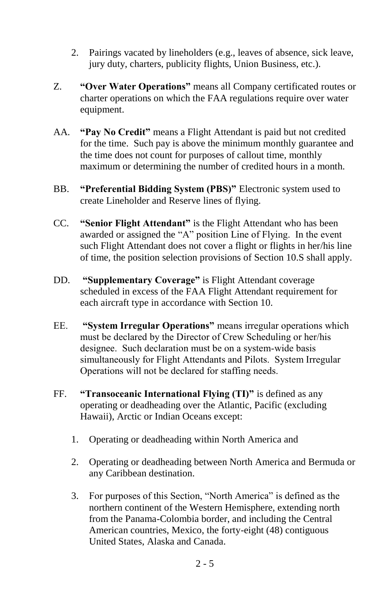- 2. Pairings vacated by lineholders (e.g., leaves of absence, sick leave, jury duty, charters, publicity flights, Union Business, etc.).
- Z. **"Over Water Operations"** means all Company certificated routes or charter operations on which the FAA regulations require over water equipment.
- AA. **"Pay No Credit"** means a Flight Attendant is paid but not credited for the time. Such pay is above the minimum monthly guarantee and the time does not count for purposes of callout time, monthly maximum or determining the number of credited hours in a month.
- BB. **"Preferential Bidding System (PBS)"** Electronic system used to create Lineholder and Reserve lines of flying.
- CC. **"Senior Flight Attendant"** is the Flight Attendant who has been awarded or assigned the "A" position Line of Flying. In the event such Flight Attendant does not cover a flight or flights in her/his line of time, the position selection provisions of Section 10.S shall apply.
- DD. **"Supplementary Coverage"** is Flight Attendant coverage scheduled in excess of the FAA Flight Attendant requirement for each aircraft type in accordance with Section 10.
- EE. **"System Irregular Operations"** means irregular operations which must be declared by the Director of Crew Scheduling or her/his designee. Such declaration must be on a system-wide basis simultaneously for Flight Attendants and Pilots. System Irregular Operations will not be declared for staffing needs.
- FF. **"Transoceanic International Flying (TI)"** is defined as any operating or deadheading over the Atlantic, Pacific (excluding Hawaii), Arctic or Indian Oceans except:
	- 1. Operating or deadheading within North America and
	- 2. Operating or deadheading between North America and Bermuda or any Caribbean destination.
	- 3. For purposes of this Section, "North America" is defined as the northern continent of the Western Hemisphere, extending north from the Panama-Colombia border, and including the Central American countries, Mexico, the forty-eight (48) contiguous United States, Alaska and Canada.